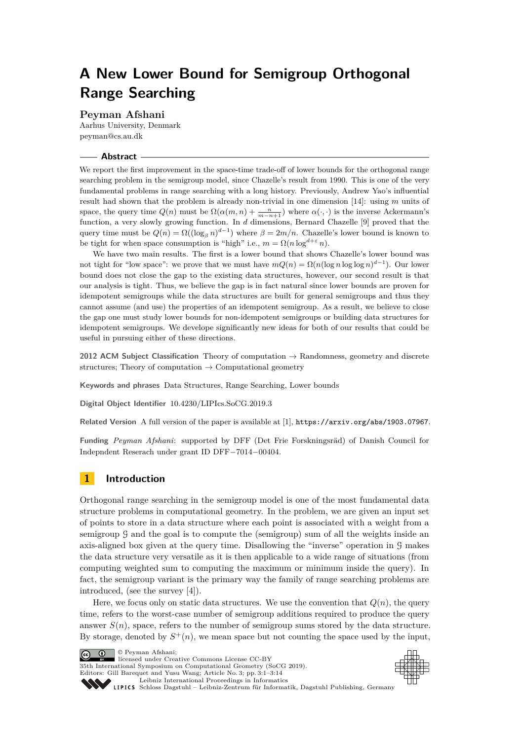# **A New Lower Bound for Semigroup Orthogonal Range Searching**

## **Peyman Afshani**

Aarhus University, Denmark [peyman@cs.au.dk](mailto:peyman@cs.au.dk)

## **Abstract**

We report the first improvement in the space-time trade-off of lower bounds for the orthogonal range searching problem in the semigroup model, since Chazelle's result from 1990. This is one of the very fundamental problems in range searching with a long history. Previously, Andrew Yao's influential result had shown that the problem is already non-trivial in one dimension [\[14\]](#page-13-0): using *m* units of space, the query time  $Q(n)$  must be  $\Omega(\alpha(m,n) + \frac{n}{m-n+1})$  where  $\alpha(\cdot, \cdot)$  is the inverse Ackermann's function, a very slowly growing function. In *d* dimensions, Bernard Chazelle [\[9\]](#page-13-1) proved that the query time must be  $Q(n) = \Omega((\log_{\beta} n)^{d-1})$  where  $\beta = 2m/n$ . Chazelle's lower bound is known to be tight for when space consumption is "high" i.e.,  $m = \Omega(n \log^{d+\epsilon} n)$ .

We have two main results. The first is a lower bound that shows Chazelle's lower bound was not tight for "low space": we prove that we must have  $mQ(n) = \Omega(n(\log n \log \log n)^{d-1})$ . Our lower bound does not close the gap to the existing data structures, however, our second result is that our analysis is tight. Thus, we believe the gap is in fact natural since lower bounds are proven for idempotent semigroups while the data structures are built for general semigroups and thus they cannot assume (and use) the properties of an idempotent semigroup. As a result, we believe to close the gap one must study lower bounds for non-idempotent semigroups or building data structures for idempotent semigroups. We develope significantly new ideas for both of our results that could be useful in pursuing either of these directions.

**2012 ACM Subject Classification** Theory of computation → Randomness, geometry and discrete structures; Theory of computation  $\rightarrow$  Computational geometry

**Keywords and phrases** Data Structures, Range Searching, Lower bounds

**Digital Object Identifier** [10.4230/LIPIcs.SoCG.2019.3](https://doi.org/10.4230/LIPIcs.SoCG.2019.3)

**Related Version** A full version of the paper is available at [\[1\]](#page-13-2), <https://arxiv.org/abs/1903.07967>.

**Funding** *Peyman Afshani*: supported by DFF (Det Frie Forskningsräd) of Danish Council for Indepndent Reserach under grant ID DFF−7014−00404.

## **1 Introduction**

Orthogonal range searching in the semigroup model is one of the most fundamental data structure problems in computational geometry. In the problem, we are given an input set of points to store in a data structure where each point is associated with a weight from a semigroup G and the goal is to compute the (semigroup) sum of all the weights inside an axis-aligned box given at the query time. Disallowing the "inverse" operation in G makes the data structure very versatile as it is then applicable to a wide range of situations (from computing weighted sum to computing the maximum or minimum inside the query). In fact, the semigroup variant is the primary way the family of range searching problems are introduced, (see the survey [\[4\]](#page-13-3)).

Here, we focus only on static data structures. We use the convention that  $Q(n)$ , the query time, refers to the worst-case number of semigroup additions required to produce the query answer  $S(n)$ , space, refers to the number of semigroup sums stored by the data structure. By storage, denoted by  $S^+(n)$ , we mean space but not counting the space used by the input,



licensed under Creative Commons License CC-BY 35th International Symposium on Computational Geometry (SoCG 2019). Editors: Gill Barequet and Yusu Wang; Article No. 3; pp. 3:1–3[:14](#page-13-4)

[Leibniz International Proceedings in Informatics](https://www.dagstuhl.de/lipics/) SCHLOSS Dagstuhl – Leibniz-Zentrum für Informatik, Dagstuhl Publishing, Germany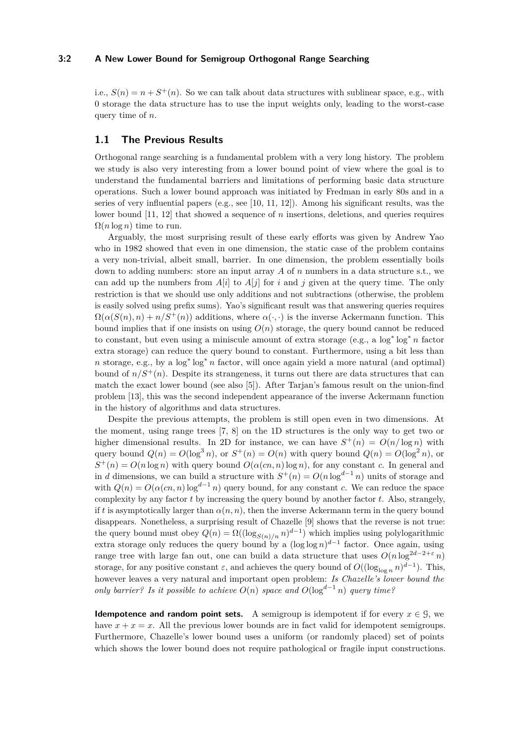## **3:2 A New Lower Bound for Semigroup Orthogonal Range Searching**

i.e.,  $S(n) = n + S^+(n)$ . So we can talk about data structures with sublinear space, e.g., with 0 storage the data structure has to use the input weights only, leading to the worst-case query time of *n*.

## **1.1 The Previous Results**

Orthogonal range searching is a fundamental problem with a very long history. The problem we study is also very interesting from a lower bound point of view where the goal is to understand the fundamental barriers and limitations of performing basic data structure operations. Such a lower bound approach was initiated by Fredman in early 80s and in a series of very influential papers (e.g., see  $[10, 11, 12]$  $[10, 11, 12]$  $[10, 11, 12]$  $[10, 11, 12]$  $[10, 11, 12]$ ). Among his significant results, was the lower bound [\[11,](#page-13-6) [12\]](#page-13-7) that showed a sequence of *n* insertions, deletions, and queries requires  $\Omega(n \log n)$  time to run.

Arguably, the most surprising result of these early efforts was given by Andrew Yao who in 1982 showed that even in one dimension, the static case of the problem contains a very non-trivial, albeit small, barrier. In one dimension, the problem essentially boils down to adding numbers: store an input array *A* of *n* numbers in a data structure s.t., we can add up the numbers from  $A[i]$  to  $A[j]$  for *i* and *j* given at the query time. The only restriction is that we should use only additions and not subtractions (otherwise, the problem is easily solved using prefix sums). Yao's significant result was that answering queries requires  $\Omega(\alpha(S(n), n) + n/S^+(n))$  additions, where  $\alpha(\cdot, \cdot)$  is the inverse Ackermann function. This bound implies that if one insists on using  $O(n)$  storage, the query bound cannot be reduced to constant, but even using a miniscule amount of extra storage (e.g., a log<sup>∗</sup> log<sup>∗</sup> *n* factor extra storage) can reduce the query bound to constant. Furthermore, using a bit less than n storage, e.g., by a log<sup>∗</sup> log<sup>\*</sup> n factor, will once again yield a more natural (and optimal) bound of  $n/S^+(n)$ . Despite its strangeness, it turns out there are data structures that can match the exact lower bound (see also [\[5\]](#page-13-8)). After Tarjan's famous result on the union-find problem [\[13\]](#page-13-9), this was the second independent appearance of the inverse Ackermann function in the history of algorithms and data structures.

Despite the previous attempts, the problem is still open even in two dimensions. At the moment, using range trees [\[7,](#page-13-10) [8\]](#page-13-11) on the 1D structures is the only way to get two or higher dimensional results. In 2D for instance, we can have  $S^+(n) = O(n/\log n)$  with query bound  $Q(n) = O(\log^3 n)$ , or  $S^+(n) = O(n)$  with query bound  $Q(n) = O(\log^2 n)$ , or  $S^+(n) = O(n \log n)$  with query bound  $O(\alpha(cn, n) \log n)$ , for any constant *c*. In general and in *d* dimensions, we can build a structure with  $S^+(n) = O(n \log^{d-1} n)$  units of storage and with  $Q(n) = O(\alpha(cn, n) \log^{d-1} n)$  query bound, for any constant *c*. We can reduce the space complexity by any factor *t* by increasing the query bound by another factor *t*. Also, strangely, if t is asymptotically larger than  $\alpha(n, n)$ , then the inverse Ackermann term in the query bound disappears. Nonetheless, a surprising result of Chazelle [\[9\]](#page-13-1) shows that the reverse is not true: the query bound must obey  $Q(n) = \Omega((\log_{S(n)/n} n)^{d-1})$  which implies using polylogarithmic extra storage only reduces the query bound by a  $(\log \log n)^{d-1}$  factor. Once again, using range tree with large fan out, one can build a data structure that uses  $O(n \log^{2d-2+\epsilon} n)$ storage, for any positive constant  $\varepsilon$ , and achieves the query bound of  $O((\log_{\log n} n)^{d-1})$ . This, however leaves a very natural and important open problem: *Is Chazelle's lower bound the only barrier? Is it possible to achieve*  $O(n)$  *space and*  $O(\log^{d-1} n)$  *query time?* 

**Idempotence and random point sets.** A semigroup is idempotent if for every  $x \in \mathcal{G}$ , we have  $x + x = x$ . All the previous lower bounds are in fact valid for idempotent semigroups. Furthermore, Chazelle's lower bound uses a uniform (or randomly placed) set of points which shows the lower bound does not require pathological or fragile input constructions.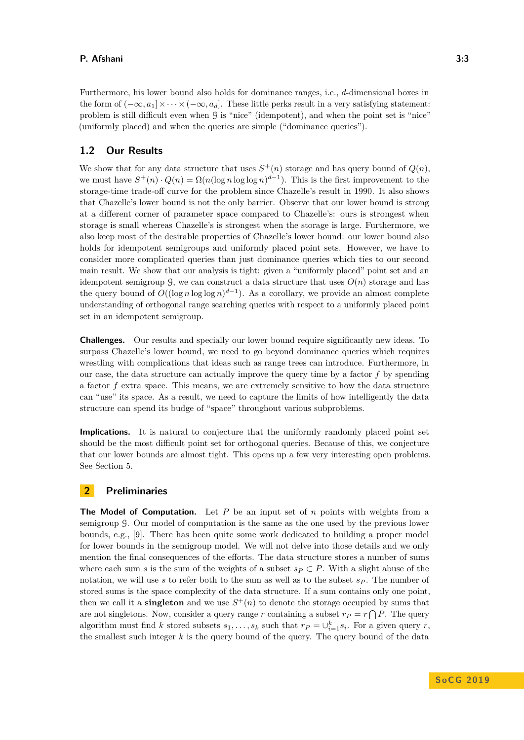Furthermore, his lower bound also holds for dominance ranges, i.e., *d*-dimensional boxes in the form of  $(-\infty, a_1] \times \cdots \times (-\infty, a_d]$ . These little perks result in a very satisfying statement: problem is still difficult even when G is "nice" (idempotent), and when the point set is "nice" (uniformly placed) and when the queries are simple ("dominance queries").

## **1.2 Our Results**

We show that for any data structure that uses  $S^+(n)$  storage and has query bound of  $Q(n)$ , we must have  $S^+(n) \cdot Q(n) = \Omega(n(\log n \log \log n)^{d-1})$ . This is the first improvement to the storage-time trade-off curve for the problem since Chazelle's result in 1990. It also shows that Chazelle's lower bound is not the only barrier. Observe that our lower bound is strong at a different corner of parameter space compared to Chazelle's: ours is strongest when storage is small whereas Chazelle's is strongest when the storage is large. Furthermore, we also keep most of the desirable properties of Chazelle's lower bound: our lower bound also holds for idempotent semigroups and uniformly placed point sets. However, we have to consider more complicated queries than just dominance queries which ties to our second main result. We show that our analysis is tight: given a "uniformly placed" point set and an idempotent semigroup  $\mathcal{G}$ , we can construct a data structure that uses  $O(n)$  storage and has the query bound of  $O((\log n \log \log n)^{d-1})$ . As a corollary, we provide an almost complete understanding of orthogonal range searching queries with respect to a uniformly placed point set in an idempotent semigroup.

**Challenges.** Our results and specially our lower bound require significantly new ideas. To surpass Chazelle's lower bound, we need to go beyond dominance queries which requires wrestling with complications that ideas such as range trees can introduce. Furthermore, in our case, the data structure can actually improve the query time by a factor *f* by spending a factor *f* extra space. This means, we are extremely sensitive to how the data structure can "use" its space. As a result, we need to capture the limits of how intelligently the data structure can spend its budge of "space" throughout various subproblems.

**Implications.** It is natural to conjecture that the uniformly randomly placed point set should be the most difficult point set for orthogonal queries. Because of this, we conjecture that our lower bounds are almost tight. This opens up a few very interesting open problems. See Section [5.](#page-13-12)

## **2 Preliminaries**

**The Model of Computation.** Let *P* be an input set of *n* points with weights from a semigroup G. Our model of computation is the same as the one used by the previous lower bounds, e.g., [\[9\]](#page-13-1). There has been quite some work dedicated to building a proper model for lower bounds in the semigroup model. We will not delve into those details and we only mention the final consequences of the efforts. The data structure stores a number of sums where each sum *s* is the sum of the weights of a subset  $s_P \subset P$ . With a slight abuse of the notation, we will use *s* to refer both to the sum as well as to the subset *s<sup>P</sup>* . The number of stored sums is the space complexity of the data structure. If a sum contains only one point, then we call it a **singleton** and we use  $S^+(n)$  to denote the storage occupied by sums that are not singletons. Now, consider a query range *r* containing a subset  $r_P = r \bigcap P$ . The query algorithm must find *k* stored subsets  $s_1, \ldots, s_k$  such that  $r_P = \bigcup_{i=1}^k s_i$ . For a given query  $r$ , the smallest such integer *k* is the query bound of the query. The query bound of the data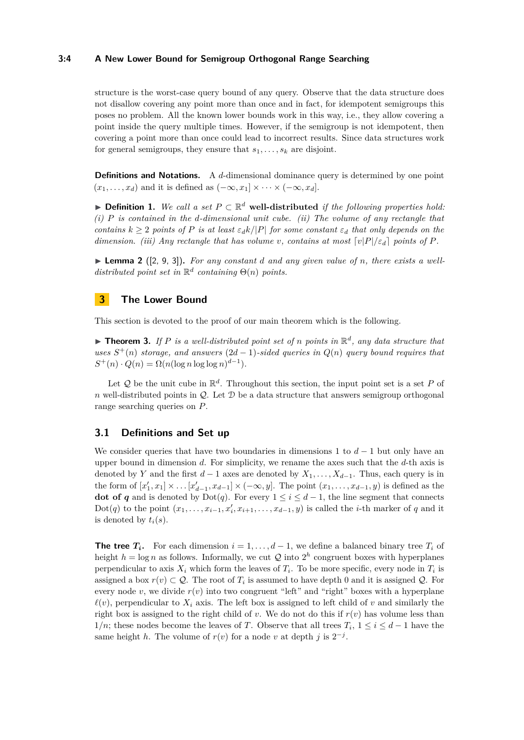#### **3:4 A New Lower Bound for Semigroup Orthogonal Range Searching**

structure is the worst-case query bound of any query. Observe that the data structure does not disallow covering any point more than once and in fact, for idempotent semigroups this poses no problem. All the known lower bounds work in this way, i.e., they allow covering a point inside the query multiple times. However, if the semigroup is not idempotent, then covering a point more than once could lead to incorrect results. Since data structures work for general semigroups, they ensure that  $s_1, \ldots, s_k$  are disjoint.

**Definitions and Notations.** A *d*-dimensional dominance query is determined by one point  $(x_1, \ldots, x_d)$  and it is defined as  $(-\infty, x_1] \times \cdots \times (-\infty, x_d]$ .

**► Definition 1.** We call a set  $P \subset \mathbb{R}^d$  well-distributed if the following properties hold: *(i) P is contained in the d-dimensional unit cube. (ii) The volume of any rectangle that contains*  $k \geq 2$  *points of P is at least*  $\varepsilon_d k/|P|$  *for some constant*  $\varepsilon_d$  *that only depends on the dimension. (iii) Any rectangle that has volume v, contains at most*  $\lceil v \rceil P / \varepsilon_d \rceil$  *points of P.* 

 $\blacktriangleright$  **Lemma 2** ([\[2,](#page-13-13) [9,](#page-13-1) [3\]](#page-13-14)). For any constant *d* and any given value of *n*, there exists a well*distributed point set in*  $\mathbb{R}^d$  *containing*  $\Theta(n)$  *points.* 

## **3 The Lower Bound**

This section is devoted to the proof of our main theorem which is the following.

 $\blacktriangleright$  **Theorem 3.** If P is a well-distributed point set of *n* points in  $\mathbb{R}^d$ , any data structure that *uses S* <sup>+</sup>(*n*) *storage, and answers* (2*d* − 1)*-sided queries in Q*(*n*) *query bound requires that*  $S^+(n) \cdot Q(n) = \Omega(n(\log n \log \log n)^{d-1}).$ 

Let  $Q$  be the unit cube in  $\mathbb{R}^d$ . Throughout this section, the input point set is a set P of *n* well-distributed points in Q. Let D be a data structure that answers semigroup orthogonal range searching queries on *P*.

## **3.1 Definitions and Set up**

We consider queries that have two boundaries in dimensions 1 to  $d-1$  but only have an upper bound in dimension *d*. For simplicity, we rename the axes such that the *d*-th axis is denoted by *Y* and the first  $d-1$  axes are denoted by  $X_1, \ldots, X_{d-1}$ . Thus, each query is in the form of  $[x'_1, x_1] \times \ldots [x'_{d-1}, x_{d-1}] \times (-\infty, y]$ . The point  $(x_1, \ldots, x_{d-1}, y)$  is defined as the **dot of** *q* and is denoted by Dot(*q*). For every  $1 \leq i \leq d-1$ , the line segment that connects Dot(*q*) to the point  $(x_1, \ldots, x_{i-1}, x_i', x_{i+1}, \ldots, x_{d-1}, y)$  is called the *i*-th marker of *q* and it is denoted by  $t_i(s)$ .

**The tree**  $T_i$ **.** For each dimension  $i = 1, \ldots, d - 1$ , we define a balanced binary tree  $T_i$  of height  $h = \log n$  as follows. Informally, we cut  $\mathcal Q$  into  $2^h$  congruent boxes with hyperplanes perpendicular to axis  $X_i$  which form the leaves of  $T_i$ . To be more specific, every node in  $T_i$  is assigned a box  $r(v) \subset \mathcal{Q}$ . The root of  $T_i$  is assumed to have depth 0 and it is assigned  $\mathcal{Q}$ . For every node  $v$ , we divide  $r(v)$  into two congruent "left" and "right" boxes with a hyperplane  $\ell(v)$ , perpendicular to  $X_i$  axis. The left box is assigned to left child of *v* and similarly the right box is assigned to the right child of *v*. We do not do this if  $r(v)$  has volume less than 1/n; these nodes become the leaves of *T*. Observe that all trees  $T_i$ , 1 ≤ *i* ≤ *d* − 1 have the same height *h*. The volume of  $r(v)$  for a node *v* at depth *j* is  $2^{-j}$ .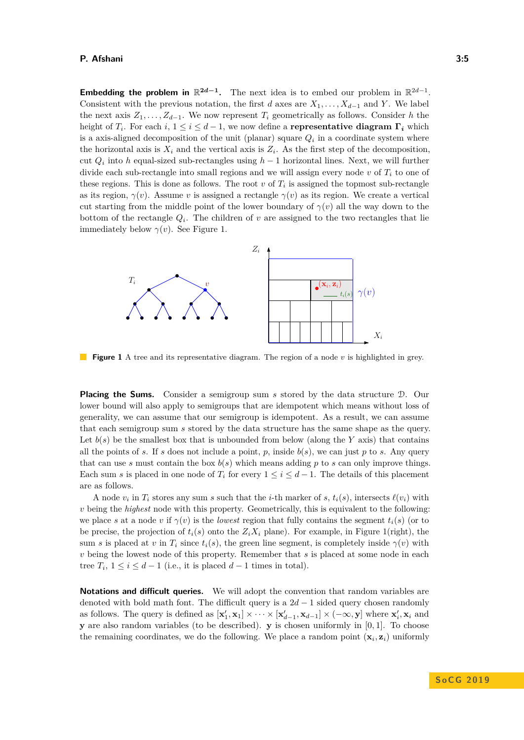**Embedding the problem in**  $\mathbb{R}^{2d-1}$ . The next idea is to embed our problem in  $\mathbb{R}^{2d-1}$ . Consistent with the previous notation, the first *d* axes are  $X_1, \ldots, X_{d-1}$  and *Y*. We label the next axis  $Z_1, \ldots, Z_{d-1}$ . We now represent  $T_i$  geometrically as follows. Consider *h* the height of  $T_i$ . For each  $i, 1 \leq i \leq d-1$ , we now define a **representative diagram**  $\Gamma_i$  which is a axis-aligned decomposition of the unit (planar) square  $Q_i$  in a coordinate system where the horizontal axis is  $X_i$  and the vertical axis is  $Z_i$ . As the first step of the decomposition, cut *Q<sup>i</sup>* into *h* equal-sized sub-rectangles using *h* − 1 horizontal lines. Next, we will further divide each sub-rectangle into small regions and we will assign every node  $v$  of  $T_i$  to one of these regions. This is done as follows. The root  $v$  of  $T_i$  is assigned the topmost sub-rectangle as its region,  $\gamma(v)$ . Assume *v* is assigned a rectangle  $\gamma(v)$  as its region. We create a vertical cut starting from the middle point of the lower boundary of  $\gamma(v)$  all the way down to the bottom of the rectangle  $Q_i$ . The children of  $v$  are assigned to the two rectangles that lie immediately below  $\gamma(v)$ . See Figure [1.](#page-4-0)

<span id="page-4-0"></span>

**Figure 1** A tree and its representative diagram. The region of a node *v* is highlighted in grey.

**Placing the Sums.** Consider a semigroup sum *s* stored by the data structure D. Our lower bound will also apply to semigroups that are idempotent which means without loss of generality, we can assume that our semigroup is idempotent. As a result, we can assume that each semigroup sum *s* stored by the data structure has the same shape as the query. Let  $b(s)$  be the smallest box that is unbounded from below (along the *Y* axis) that contains all the points of *s*. If *s* does not include a point, *p*, inside  $b(s)$ , we can just *p* to *s*. Any query that can use *s* must contain the box  $b(s)$  which means adding p to *s* can only improve things. Each sum *s* is placed in one node of  $T_i$  for every  $1 \leq i \leq d-1$ . The details of this placement are as follows.

A node  $v_i$  in  $T_i$  stores any sum *s* such that the *i*-th marker of *s*,  $t_i(s)$ , intersects  $\ell(v_i)$  with *v* being the *highest* node with this property. Geometrically, this is equivalent to the following: we place *s* at a node *v* if  $\gamma(v)$  is the *lowest* region that fully contains the segment  $t_i(s)$  (or to be precise, the projection of  $t_i(s)$  onto the  $Z_i X_i$  plane). For example, in Figure [1\(](#page-4-0)right), the sum *s* is placed at *v* in  $T_i$  since  $t_i(s)$ , the green line segment, is completely inside  $\gamma(v)$  with *v* being the lowest node of this property. Remember that *s* is placed at some node in each tree  $T_i$ ,  $1 \le i \le d-1$  (i.e., it is placed  $d-1$  times in total).

**Notations and difficult queries.** We will adopt the convention that random variables are denoted with bold math font. The difficult query is a 2*d* − 1 sided query chosen randomly as follows. The query is defined as  $[\mathbf{x}'_1, \mathbf{x}_1] \times \cdots \times [\mathbf{x}'_{d-1}, \mathbf{x}_{d-1}] \times (-\infty, \mathbf{y}]$  where  $\mathbf{x}'_i, \mathbf{x}_i$  and **y** are also random variables (to be described). **y** is chosen uniformly in [0*,* 1]. To choose the remaining coordinates, we do the following. We place a random point  $(\mathbf{x}_i, \mathbf{z}_i)$  uniformly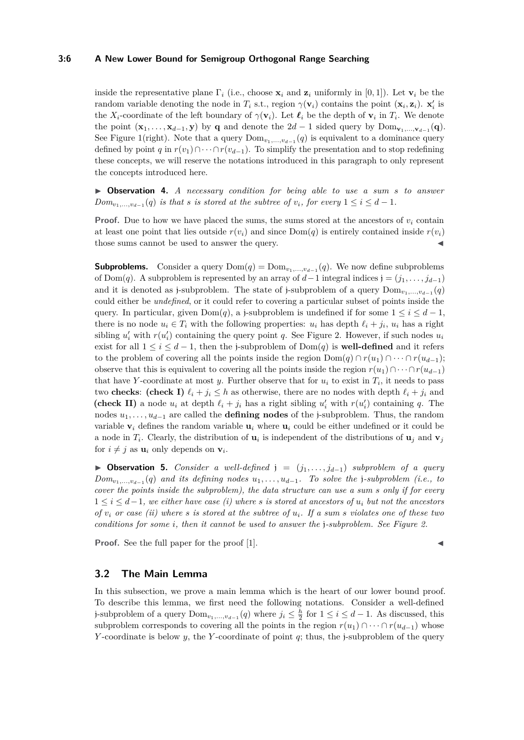## **3:6 A New Lower Bound for Semigroup Orthogonal Range Searching**

inside the representative plane  $\Gamma_i$  (i.e., choose  $\mathbf{x}_i$  and  $\mathbf{z}_i$  uniformly in [0, 1]). Let  $\mathbf{v}_i$  be the random variable denoting the node in  $T_i$  s.t., region  $\gamma(\mathbf{v}_i)$  contains the point  $(\mathbf{x}_i, \mathbf{z}_i)$ .  $\mathbf{x}'_i$  is the *X*<sub>*i*</sub>-coordinate of the left boundary of  $\gamma(\mathbf{v}_i)$ . Let  $\ell_i$  be the depth of  $\mathbf{v}_i$  in  $T_i$ . We denote the point  $(\mathbf{x}_1, \ldots, \mathbf{x}_{d-1}, \mathbf{y})$  by **q** and denote the  $2d-1$  sided query by  $\text{Dom}_{\mathbf{v}_1, \ldots, \mathbf{v}_{d-1}}(\mathbf{q})$ . See Figure [1\(](#page-4-0)right). Note that a query  $\text{Dom}_{v_1,\dots,v_{d-1}}(q)$  is equivalent to a dominance query defined by point *q* in  $r(v_1) \cap \cdots \cap r(v_{d-1})$ . To simplify the presentation and to stop redefining these concepts, we will reserve the notations introduced in this paragraph to only represent the concepts introduced here.

<span id="page-5-0"></span>I **Observation 4.** *A necessary condition for being able to use a sum s to answer*  $Dom_{v_1,...,v_{d-1}}(q)$  *is that s is stored at the subtree of*  $v_i$ *, for every*  $1 \leq i \leq d-1$ *.* 

**Proof.** Due to how we have placed the sums, the sums stored at the ancestors of  $v_i$  contain at least one point that lies outside  $r(v_i)$  and since  $Dom(q)$  is entirely contained inside  $r(v_i)$ those sums cannot be used to answer the query.

**Subproblems.** Consider a query  $Dom(q) = Dom_{v_1, ..., v_{d-1}}(q)$ . We now define subproblems of Dom(*q*). A subproblem is represented by an array of  $d-1$  integral indices  $j = (j_1, \ldots, j_{d-1})$ and it is denoted as j-subproblem. The state of j-subproblem of a query  $Dom_{v_1,...,v_{d-1}}(q)$ could either be *undefined*, or it could refer to covering a particular subset of points inside the query. In particular, given  $Dom(q)$ , a j-subproblem is undefined if for some  $1 \leq i \leq d-1$ , there is no node  $u_i \in T_i$  with the following properties:  $u_i$  has depth  $\ell_i + j_i$ ,  $u_i$  has a right sibling  $u'_i$  with  $r(u'_i)$  containing the query point *q*. See Figure [2.](#page-6-0) However, if such nodes  $u_i$ exist for all  $1 \leq i \leq d-1$ , then the j-subproblem of  $Dom(q)$  is **well-defined** and it refers to the problem of covering all the points inside the region  $Dom(q) \cap r(u_1) \cap \cdots \cap r(u_{d-1});$ observe that this is equivalent to covering all the points inside the region  $r(u_1) \cap \cdots \cap r(u_{d-1})$ that have *Y*-coordinate at most *y*. Further observe that for  $u_i$  to exist in  $T_i$ , it needs to pass two **checks:** (check I)  $\ell_i + j_i \leq h$  as otherwise, there are no nodes with depth  $\ell_i + j_i$  and (check II) a node  $u_i$  at depth  $\ell_i + j_i$  has a right sibling  $u'_i$  with  $r(u'_i)$  containing  $q$ . The nodes *u*1*, . . . , ud*−<sup>1</sup> are called the **defining nodes** of the j-subproblem. Thus, the random variable  $\mathbf{v}_i$  defines the random variable  $\mathbf{u}_i$  where  $\mathbf{u}_i$  could be either undefined or it could be a node in  $T_i$ . Clearly, the distribution of  $\mathbf{u}_i$  is independent of the distributions of  $\mathbf{u}_j$  and  $\mathbf{v}_j$ for  $i \neq j$  as  $\mathbf{u}_i$  only depends on  $\mathbf{v}_i$ .

<span id="page-5-1"></span>I **Observation 5.** *Consider a well-defined* j = (*j*1*, . . . , jd*−1) *subproblem of a query*  $Dom_{v_1,...,v_{d-1}}(q)$  and its defining nodes  $u_1,...,u_{d-1}$ . To solve the j-subproblem (i.e., to *cover the points inside the subproblem), the data structure can use a sum s only if for every* 1 ≤ *i* ≤ *d*−1*, we either have case (i) where s is stored at ancestors of u<sup>i</sup> but not the ancestors of v<sup>i</sup> or case (ii) where s is stored at the subtree of ui. If a sum s violates one of these two conditions for some i, then it cannot be used to answer the* j*-subproblem. See Figure [2.](#page-6-0)*

**Proof.** See the full paper for the proof [\[1\]](#page-13-2).

## **3.2 The Main Lemma**

In this subsection, we prove a main lemma which is the heart of our lower bound proof. To describe this lemma, we first need the following notations. Consider a well-defined j-subproblem of a query  $\text{Dom}_{v_1,\ldots,v_{d-1}}(q)$  where  $j_i \leq \frac{h}{2}$  for  $1 \leq i \leq d-1$ . As discussed, this subproblem corresponds to covering all the points in the region  $r(u_1) \cap \cdots \cap r(u_{d-1})$  whose *Y* -coordinate is below *y*, the *Y* -coordinate of point *q*; thus, the j-subproblem of the query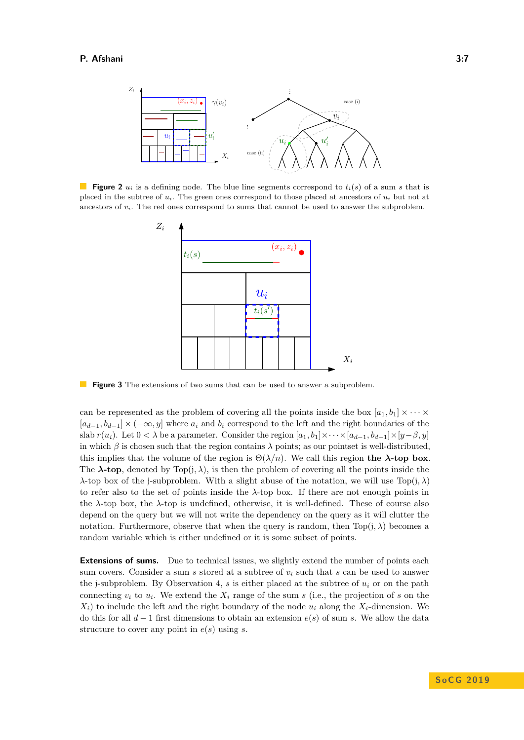<span id="page-6-0"></span>

**Figure 2**  $u_i$  is a defining node. The blue line segments correspond to  $t_i(s)$  of a sum *s* that is placed in the subtree of  $u_i$ . The green ones correspond to those placed at ancestors of  $u_i$  but not at ancestors of  $v_i$ . The red ones correspond to sums that cannot be used to answer the subproblem.



**Figure 3** The extensions of two sums that can be used to answer a subproblem.

can be represented as the problem of covering all the points inside the box  $[a_1, b_1] \times \cdots \times$  $[a_{d-1}, b_{d-1}] \times (-\infty, y]$  where  $a_i$  and  $b_i$  correspond to the left and the right boundaries of the slab  $r(u_i)$ . Let  $0 < \lambda$  be a parameter. Consider the region  $[a_1, b_1] \times \cdots \times [a_{d-1}, b_{d-1}] \times [y - \beta, y]$ in which  $\beta$  is chosen such that the region contains  $\lambda$  points; as our pointset is well-distributed, this implies that the volume of the region is  $\Theta(\lambda/n)$ . We call this region the  $\lambda$ -top box. The  $\lambda$ **-top**, denoted by Top(j,  $\lambda$ ), is then the problem of covering all the points inside the *λ*-top box of the *j*-subproblem. With a slight abuse of the notation, we will use Top(*j*, *λ*) to refer also to the set of points inside the *λ*-top box. If there are not enough points in the *λ*-top box, the *λ*-top is undefined, otherwise, it is well-defined. These of course also depend on the query but we will not write the dependency on the query as it will clutter the notation. Furthermore, observe that when the query is random, then  $Top(j, \lambda)$  becomes a random variable which is either undefined or it is some subset of points.

**Extensions of sums.** Due to technical issues, we slightly extend the number of points each sum covers. Consider a sum  $s$  stored at a subtree of  $v_i$  such that  $s$  can be used to answer the j-subproblem. By Observation [4,](#page-5-0)  $s$  is either placed at the subtree of  $u_i$  or on the path connecting  $v_i$  to  $u_i$ . We extend the  $X_i$  range of the sum  $s$  (i.e., the projection of  $s$  on the  $X_i$  to include the left and the right boundary of the node  $u_i$  along the  $X_i$ -dimension. We do this for all *d* − 1 first dimensions to obtain an extension *e*(*s*) of sum *s*. We allow the data structure to cover any point in *e*(*s*) using *s*.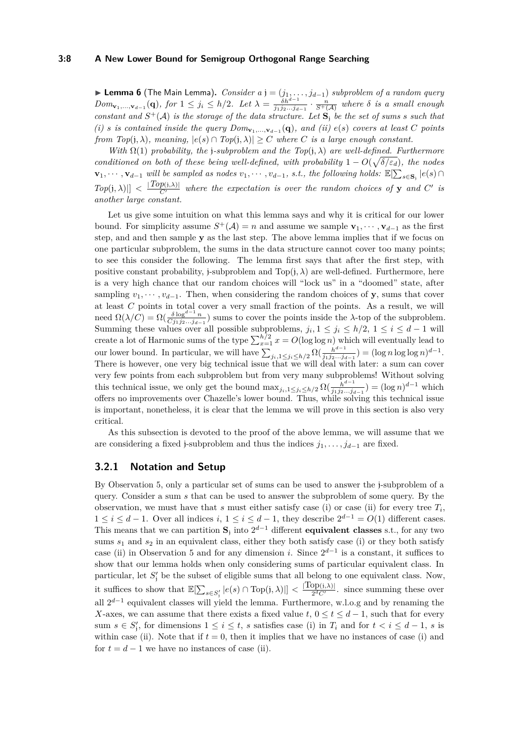#### **3:8 A New Lower Bound for Semigroup Orthogonal Range Searching**

<span id="page-7-0"></span>I **Lemma 6** (The Main Lemma)**.** *Consider a* j = (*j*1*, . . . , jd*−1) *subproblem of a random query*  $Dom_{\mathbf{v}_1,\dots,\mathbf{v}_{d-1}}(\mathbf{q})$ , for  $1 \leq j_i \leq h/2$ . Let  $\lambda = \frac{\delta h^{d-1}}{j_1 j_2 \dots j_{d-1}} \cdot \frac{n}{S^+(\mathcal{A})}$  where  $\delta$  is a small enough *constant and*  $S^+(\mathcal{A})$  *is the storage of the data structure. Let*  $S_j$  *be the set of sums s such that*  $(i)$  *s is contained inside the query*  $Dom_{\mathbf{v}_1,\dots,\mathbf{v}_{d-1}}(\mathbf{q})$ *, and (ii)*  $e(s)$  *covers at least*  $C$  *points from Top*(*j,*  $\lambda$ *), meaning,*  $|e(s) \cap Top(j, \lambda)| \ge C$  *where C is a large enough constant.* 

*With*  $\Omega(1)$  *probability, the j-subproblem and the*  $Top(i, \lambda)$  *are well-defined. Furthermore conditioned on both of these being well-defined, with probability*  $1 - O(\sqrt{\delta/\varepsilon_d})$ , the nodes  $\mathbf{v}_1, \cdots, \mathbf{v}_{d-1}$  *will be sampled as nodes*  $v_1, \cdots, v_{d-1}$ *, s.t., the following holds:*  $\mathbb{E}[\sum_{s \in \mathbf{S}_i} |e(s) \cap$  $Top(j, \lambda)$ ||  $\langle \frac{[Top(j, \lambda)]}{C'} \rangle$  *where the expectation is over the random choices of* **y** *and C*<sup>*i*</sup> *is another large constant.*

Let us give some intuition on what this lemma says and why it is critical for our lower bound. For simplicity assume  $S^+(\mathcal{A}) = n$  and assume we sample  $\mathbf{v}_1, \dots, \mathbf{v}_{d-1}$  as the first step, and and then sample **y** as the last step. The above lemma implies that if we focus on one particular subproblem, the sums in the data structure cannot cover too many points; to see this consider the following. The lemma first says that after the first step, with positive constant probability, j-subproblem and  $\text{Top}(j, \lambda)$  are well-defined. Furthermore, here is a very high chance that our random choices will "lock us" in a "doomed" state, after sampling  $v_1, \dots, v_{d-1}$ . Then, when considering the random choices of **y**, sums that cover at least *C* points in total cover a very small fraction of the points. As a result, we will need  $\Omega(\lambda/C) = \Omega(\frac{\delta \log^{d-1} n}{C^{j_1 j_2 \ldots j_{d-1}}})$  sums to cover the points inside the *λ*-top of the subproblem. Summing these values over all possible subproblems,  $j_i, 1 \leq j_i \leq h/2, 1 \leq i \leq d-1$  will create a lot of Harmonic sums of the type  $\sum_{x=1}^{h/2} x = O(\log \log n)$  which will eventually lead to our lower bound. In particular, we will have  $\sum_{j_i,1\leq j_i\leq h/2} \Omega(\frac{h^{d-1}}{j_1j_2...j_d})$  $\frac{h^{a-1}}{j_1 j_2 ... j_{d-1}}$ ) = (log *n* log log *n*)<sup>*d*−1</sup>. There is however, one very big technical issue that we will deal with later: a sum can cover very few points from each subproblem but from very many subproblems! Without solving this technical issue, we only get the bound  $\max_{j_i, 1 \leq j_i \leq h/2} \Omega(\frac{h^{d-1}}{j_1 j_2 \dots j_\ell})$  $\frac{h^{d-1}}{j_1 j_2 ... j_{d-1}}$ ) = (log *n*)<sup>*d*−1</sup> which offers no improvements over Chazelle's lower bound. Thus, while solving this technical issue is important, nonetheless, it is clear that the lemma we will prove in this section is also very critical.

As this subsection is devoted to the proof of the above lemma, we will assume that we are considering a fixed j-subproblem and thus the indices *j*1*, . . . , jd*−<sup>1</sup> are fixed.

## **3.2.1 Notation and Setup**

By Observation [5,](#page-5-1) only a particular set of sums can be used to answer the j-subproblem of a query. Consider a sum *s* that can be used to answer the subproblem of some query. By the observation, we must have that  $s$  must either satisfy case (i) or case (ii) for every tree  $T_i$ , 1 ≤ *i* ≤ *d* − 1. Over all indices *i*, 1 ≤ *i* ≤ *d* − 1, they describe  $2^{d-1} = O(1)$  different cases. This means that we can partition  $S_j$  into  $2^{d-1}$  different **equivalent classes** s.t., for any two sums  $s_1$  and  $s_2$  in an equivalent class, either they both satisfy case (i) or they both satisfy case (ii) in Observation [5](#page-5-1) and for any dimension *i*. Since  $2^{d-1}$  is a constant, it suffices to show that our lemma holds when only considering sums of particular equivalent class. In particular, let  $S_i'$  be the subset of eligible sums that all belong to one equivalent class. Now, j it suffices to show that  $\mathbb{E}[\sum_{s \in S_i'} |e(s) \cap \text{Top}(j, \lambda)|] < \frac{|\text{Top}(j, \lambda)|}{2^d C'}$ , since summing these over all 2<sup>d-1</sup> equivalent classes will yield the lemma. Furthermore, w.l.o.g and by renaming the *X*-axes, we can assume that there exists a fixed value *t*,  $0 \le t \le d-1$ , such that for every sum  $s \in S'_{j}$ , for dimensions  $1 \leq i \leq t$ , *s* satisfies case (i) in  $T_{i}$  and for  $t < i \leq d-1$ , *s* is within case (ii). Note that if  $t = 0$ , then it implies that we have no instances of case (i) and for  $t = d - 1$  we have no instances of case (ii).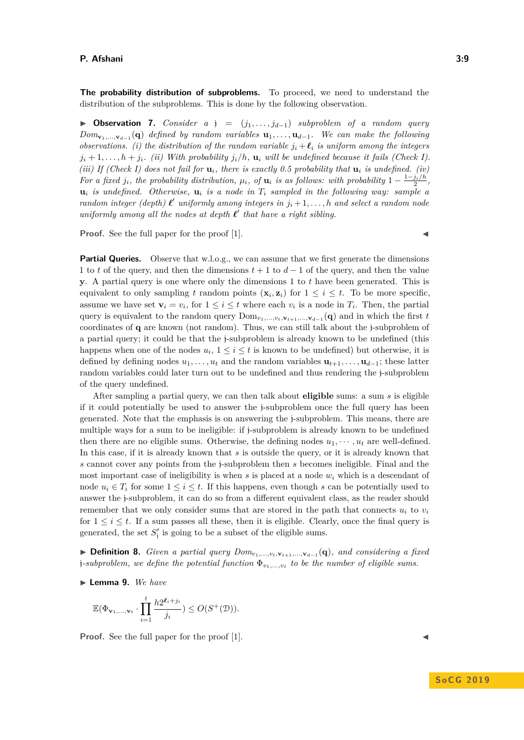**The probability distribution of subproblems.** To proceed, we need to understand the distribution of the subproblems. This is done by the following observation.

I **Observation 7.** *Consider a* j = (*j*1*, . . . , jd*−1) *subproblem of a random query*  $Dom_{\mathbf{v}_1,\ldots,\mathbf{v}_{d-1}}(\mathbf{q})$  defined by random variables  $\mathbf{u}_1,\ldots,\mathbf{u}_{d-1}$ . We can make the following *observations. (i) the distribution of the random variable*  $j_i + \ell_i$  *is uniform among the integers*  $j_i + 1, \ldots, h + j_i$ *. (ii) With probability*  $j_i/h$ *,*  $\mathbf{u}_i$  *will be undefined because it fails (Check I). (iii) If (Check I) does not fail for*  $\mathbf{u}_i$ *, there is exactly 0.5 probability that*  $\mathbf{u}_i$  *is undefined. (iv) For a fixed*  $j_i$ *, the probability distribution,*  $\mu_i$ *, of*  $\mathbf{u}_i$  *is as follows: with probability*  $1 - \frac{1 - j_i}{2}$ *,*  $u_i$  *is undefined. Otherwise,*  $u_i$  *is a node in*  $T_i$  *sampled in the following way: sample a random integer (depth)*  $\ell'$  *uniformly among integers in*  $j_i + 1, \ldots, h$  *and select a random node* uniformly among all the nodes at depth  $\ell'$  that have a right sibling.

**Proof.** See the full paper for the proof [\[1\]](#page-13-2).

**Partial Queries.** Observe that w.l.o.g., we can assume that we first generate the dimensions 1 to *t* of the query, and then the dimensions *t* + 1 to *d* − 1 of the query, and then the value **y**. A partial query is one where only the dimensions 1 to *t* have been generated. This is equivalent to only sampling *t* random points  $(\mathbf{x}_i, \mathbf{z}_i)$  for  $1 \leq i \leq t$ . To be more specific, assume we have set  $\mathbf{v}_i = v_i$ , for  $1 \leq i \leq t$  where each  $v_i$  is a node in  $T_i$ . Then, the partial query is equivalent to the random query  $Dom_{v_1,...,v_t,v_{t+1},...,v_{d-1}}(q)$  and in which the first *t* coordinates of **q** are known (not random). Thus, we can still talk about the j-subproblem of a partial query; it could be that the j-subproblem is already known to be undefined (this happens when one of the nodes  $u_i$ ,  $1 \leq i \leq t$  is known to be undefined) but otherwise, it is defined by defining nodes  $u_1, \ldots, u_t$  and the random variables  $\mathbf{u}_{t+1}, \ldots, \mathbf{u}_{d-1}$ ; these latter random variables could later turn out to be undefined and thus rendering the j-subproblem of the query undefined.

After sampling a partial query, we can then talk about **eligible** sums: a sum *s* is eligible if it could potentially be used to answer the j-subproblem once the full query has been generated. Note that the emphasis is on answering the j-subproblem. This means, there are multiple ways for a sum to be ineligible: if j-subproblem is already known to be undefined then there are no eligible sums. Otherwise, the defining nodes  $u_1, \dots, u_t$  are well-defined. In this case, if it is already known that *s* is outside the query, or it is already known that *s* cannot cover any points from the j-subproblem then *s* becomes ineligible. Final and the most important case of ineligibility is when *s* is placed at a node *w<sup>i</sup>* which is a descendant of node  $u_i \in T_i$  for some  $1 \leq i \leq t$ . If this happens, even though *s* can be potentially used to answer the j-subproblem, it can do so from a different equivalent class, as the reader should remember that we only consider sums that are stored in the path that connects  $u_i$  to  $v_i$ for  $1 \leq i \leq t$ . If a sum passes all these, then it is eligible. Clearly, once the final query is generated, the set  $S'_{j}$  is going to be a subset of the eligible sums.

▶ **Definition 8.** *Given a partial query*  $Dom_{v_1,...,v_t,v_{t+1},...,v_{d-1}}(q)$ *, and considering a fixed j*-subproblem, we define the potential function  $\Phi_{v_1,\dots,v_t}$  to be the number of eligible sums.

<span id="page-8-0"></span>**► Lemma 9.** *We have* 

$$
\mathbb{E}(\Phi_{\mathbf{v}_1,\ldots,\mathbf{v}_t}\cdot \prod_{i=1}^t \frac{h2^{\ell_i+j_i}}{j_i}) \leq O(S^+(\mathcal{D})).
$$

**Proof.** See the full paper for the proof [\[1\]](#page-13-2).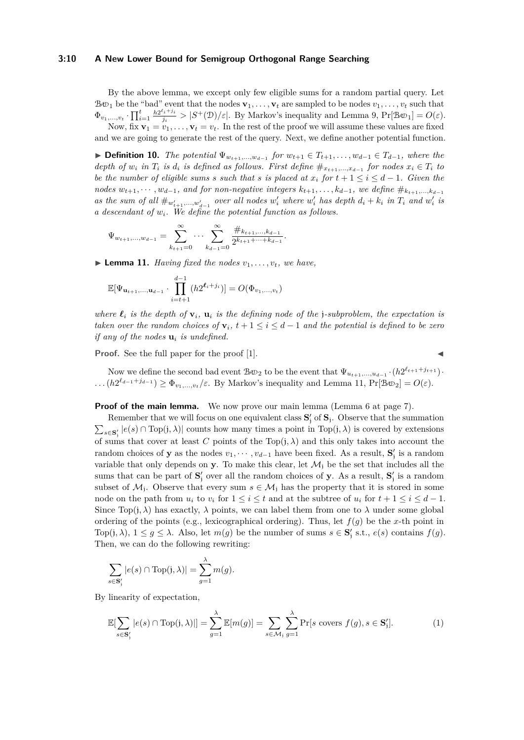#### **3:10 A New Lower Bound for Semigroup Orthogonal Range Searching**

By the above lemma, we except only few eligible sums for a random partial query. Let  $\mathbb{B}\omega_1$  be the "bad" event that the nodes  $\mathbf{v}_1, \ldots, \mathbf{v}_t$  are sampled to be nodes  $v_1, \ldots, v_t$  such that  $\Phi_{v_1,...,v_t} \cdot \prod_{i=1}^t \frac{h2^{\ell_i+j_i}}{j_i}$  $\frac{f_i + f_j}{f_i}$  >  $|S^+(\mathcal{D})/\varepsilon|$ . By Markov's inequality and Lemma [9,](#page-8-0)  $Pr[\mathcal{B} \mathcal{D}_1] = O(\varepsilon)$ . Now, fix  $\mathbf{v}_1 = v_1, \ldots, \mathbf{v}_t = v_t$ . In the rest of the proof we will assume these values are fixed

and we are going to generate the rest of the query. Next, we define another potential function.

**► Definition 10.** *The potential*  $\Psi_{w_{t+1},...,w_{d-1}}$  *for*  $w_{t+1} \in T_{t+1},..., w_{d-1} \in T_{d-1}$ *, where the* depth of  $w_i$  in  $T_i$  is  $d_i$  is defined as follows. First define  $\#_{x_{t+1},...,x_{d-1}}$  for nodes  $x_i \in T_i$  to *be the number of eligible sums s such that s is placed at*  $x_i$  *for*  $t + 1 \leq i \leq d - 1$ *. Given the nodes*  $w_{t+1}, \dots, w_{d-1}$ *, and for non-negative integers*  $k_{t+1}, \dots, k_{d-1}$ *, we define*  $\#_{k_{t+1}, \dots, k_{d-1}}$ as the sum of all  $\#_{w'_{t+1},...,w'_{d-1}}$  over all nodes  $w'_i$  where  $w'_i$  has depth  $d_i + k_i$  in  $T_i$  and  $w'_i$  is *a descendant of wi. We define the potential function as follows.*

$$
\Psi_{w_{t+1},...,w_{d-1}} = \sum_{k_{t+1}=0}^{\infty} \cdots \sum_{k_{d-1}=0}^{\infty} \frac{\#_{k_{t+1},...,k_{d-1}}}{2^{k_{t+1}+\cdots+k_{d-1}}}.
$$

<span id="page-9-0"></span> $\blacktriangleright$  **Lemma 11.** *Having fixed the nodes*  $v_1, \ldots, v_t$ *, we have,* 

$$
\mathbb{E}[\Psi_{\mathbf{u}_{t+1},...,\mathbf{u}_{d-1}} \cdot \prod_{i=t+1}^{d-1} (h2^{\ell_i+j_i})] = O(\Phi_{v_1,...,v_t})
$$

*where*  $\ell_i$  *is the depth of*  $\mathbf{v}_i$ ,  $\mathbf{u}_i$  *is the defining node of the j-subproblem, the expectation is taken over the random choices of*  $\mathbf{v}_i$ ,  $t + 1 \leq i \leq d - 1$  *and the potential is defined to be zero if any of the nodes* **u***<sup>i</sup> is undefined.*

**Proof.** See the full paper for the proof [\[1\]](#page-13-2).

<span id="page-9-1"></span>

Now we define the second bad event  $B \oplus B_2$  to be the event that  $\Psi_{u_{t+1},...,u_{d-1}} \cdot (h 2^{\ell_{t+1}+j_{t+1}}) \cdot$ *...*  $(h2^{\ell_{d-1}+j_{d-1}})$  ≥  $\Phi_{v_1,...,v_t}/\varepsilon$ . By Markov's inequality and Lemma [11,](#page-9-0) Pr[B $\nexists \omega_2$ ] =  $O(\varepsilon)$ .

**Proof of the main lemma.** We now prove our main lemma (Lemma [6](#page-7-0) at page [7\)](#page-7-0).

Remember that we will focus on one equivalent class  $S'_{j}$  of  $S_{j}$ . Observe that the summation  $\sum_{s \in \mathbf{S}'_j} |e(s) \cap \text{Top}(j, \lambda)|$  counts how many times a point in  $\text{Top}(j, \lambda)$  is covered by extensions of sums that cover at least C points of the Top(j,  $\lambda$ ) and this only takes into account the random choices of **y** as the nodes  $v_1, \dots, v_{d-1}$  have been fixed. As a result,  $S'_j$  is a random variable that only depends on  $\mathbf{y}$ . To make this clear, let  $\mathcal{M}_{\mathbf{i}}$  be the set that includes all the sums that can be part of  $S_j'$  over all the random choices of **y**. As a result,  $S_j'$  is a random subset of  $M_j$ . Observe that every sum  $s \in M_j$  has the property that it is stored in some node on the path from  $u_i$  to  $v_i$  for  $1 \leq i \leq t$  and at the subtree of  $u_i$  for  $t + 1 \leq i \leq d - 1$ . Since Top(j,  $\lambda$ ) has exactly,  $\lambda$  points, we can label them from one to  $\lambda$  under some global ordering of the points (e.g., lexicographical ordering). Thus, let  $f(g)$  be the *x*-th point in Top( $j, \lambda$ ),  $1 \le g \le \lambda$ . Also, let  $m(g)$  be the number of sums  $s \in \mathbf{S}'_j$  s.t.,  $e(s)$  contains  $f(g)$ . Then, we can do the following rewriting:

$$
\sum_{s \in \mathbf{S}'_j} |e(s) \cap \text{Top}(j, \lambda)| = \sum_{g=1}^{\lambda} m(g).
$$

By linearity of expectation,

$$
\mathbb{E}[\sum_{s \in \mathbf{S}'_j} |e(s) \cap \text{Top}(j,\lambda)|] = \sum_{g=1}^{\lambda} \mathbb{E}[m(g)] = \sum_{s \in \mathcal{M}_j} \sum_{g=1}^{\lambda} \text{Pr}[s \text{ covers } f(g), s \in \mathbf{S}'_j].
$$
 (1)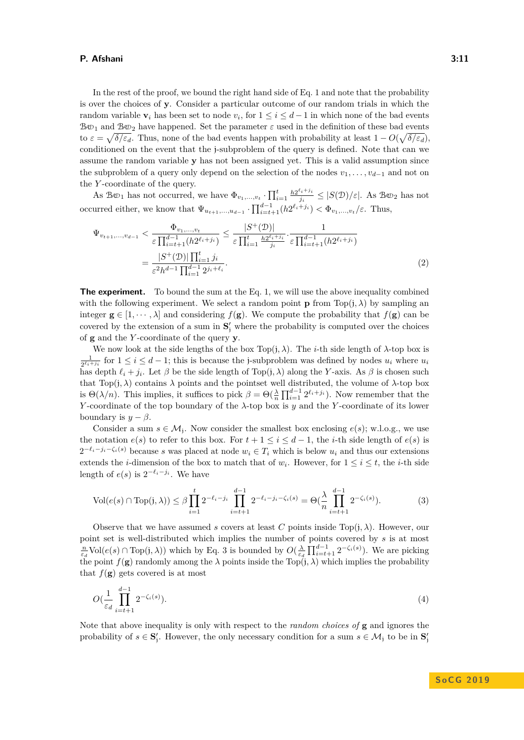In the rest of the proof, we bound the right hand side of Eq. [1](#page-9-1) and note that the probability is over the choices of **y**. Consider a particular outcome of our random trials in which the random variable  $\mathbf{v}_i$  has been set to node  $v_i$ , for  $1 \leq i \leq d-1$  in which none of the bad events  $B\omega_1$  and  $B\omega_2$  have happened. Set the parameter  $\varepsilon$  used in the definition of these bad events to  $\varepsilon = \sqrt{\delta/\varepsilon_d}$ . Thus, none of the bad events happen with probability at least  $1 - O(\sqrt{\delta/\varepsilon_d})$ , conditioned on the event that the j-subproblem of the query is defined. Note that can we assume the random variable **y** has not been assigned yet. This is a valid assumption since the subproblem of a query only depend on the selection of the nodes  $v_1, \ldots, v_{d-1}$  and not on the *Y* -coordinate of the query.

As  $B \oplus D_1$  has not occurred, we have  $\Phi_{v_1,...,v_t} \cdot \prod_{i=1}^t \frac{h2^{\ell_i+j_i}}{j_i}$  $\frac{\sum_{i,j}^{i+j} j_i}{j_i} \leq |S(\mathcal{D})/\varepsilon|$ . As  $\mathcal{B} \mathcal{A} \mathcal{D}_2$  has not occurred either, we know that  $\Psi_{u_{t+1},...,u_{d-1}} \cdot \prod_{i=t+1}^{d-1} (h2^{\ell_i+j_i}) < \Phi_{v_1,...,v_t}/\varepsilon$ . Thus,

<span id="page-10-1"></span>
$$
\Psi_{v_{t+1},...,v_{d-1}} < \frac{\Phi_{v_1,...,v_t}}{\varepsilon \prod_{i=t+1}^{d-1} (h2^{\ell_i+j_i})} \le \frac{|S^+(\mathcal{D})|}{\varepsilon \prod_{i=1}^t \frac{h2^{\ell_i+j_i}}{j_i}} \cdot \frac{1}{\varepsilon \prod_{i=t+1}^{d-1} (h2^{\ell_i+j_i})}
$$
\n
$$
= \frac{|S^+(\mathcal{D})| \prod_{i=1}^t j_i}{\varepsilon^2 h^{d-1} \prod_{i=1}^{d-1} 2^{j_i + \ell_i}}.
$$
\n(2)

**The experiment.** To bound the sum at the Eq. [1,](#page-9-1) we will use the above inequality combined with the following experiment. We select a random point **p** from  $Top(i, \lambda)$  by sampling an integer  $g \in [1, \dots, \lambda]$  and considering  $f(g)$ . We compute the probability that  $f(g)$  can be covered by the extension of a sum in  $S'_{j}$  where the probability is computed over the choices of **g** and the *Y* -coordinate of the query **y**.

We now look at the side lengths of the box  $Top(j, \lambda)$ . The *i*-th side length of  $\lambda$ -top box is  $\frac{1}{2^{\ell_i+j_i}}$  for  $1 \leq i \leq d-1$ ; this is because the j-subproblem was defined by nodes  $u_i$  where  $u_i$ has depth  $\ell_i + j_i$ . Let  $\beta$  be the side length of Top(j,  $\lambda$ ) along the *Y*-axis. As  $\beta$  is chosen such that  $Top(j, \lambda)$  contains  $\lambda$  points and the pointset well distributed, the volume of  $\lambda$ -top box is  $\Theta(\lambda/n)$ . This implies, it suffices to pick  $\beta = \Theta(\frac{\lambda}{n} \prod_{i=1}^{d-1} 2^{\ell_i+j_i})$ . Now remember that the *Y* -coordinate of the top boundary of the *λ*-top box is *y* and the *Y* -coordinate of its lower boundary is  $y - \beta$ .

Consider a sum  $s \in \mathcal{M}_j$ . Now consider the smallest box enclosing  $e(s)$ ; w.l.o.g., we use the notation  $e(s)$  to refer to this box. For  $t + 1 \leq i \leq d - 1$ , the *i*-th side length of  $e(s)$  is  $2^{-\ell_i-j_i-\zeta_i(s)}$  because *s* was placed at node  $w_i \in T_i$  which is below  $u_i$  and thus our extensions extends the *i*-dimension of the box to match that of  $w_i$ . However, for  $1 \le i \le t$ , the *i*-th side length of  $e(s)$  is  $2^{-\ell_i - j_i}$ . We have

<span id="page-10-0"></span>
$$
\text{Vol}(e(s) \cap \text{Top}(j,\lambda)) \le \beta \prod_{i=1}^t 2^{-\ell_i - j_i} \prod_{i=t+1}^{d-1} 2^{-\ell_i - j_i - \zeta_i(s)} = \Theta\left(\frac{\lambda}{n} \prod_{i=t+1}^{d-1} 2^{-\zeta_i(s)}\right). \tag{3}
$$

Observe that we have assumed *s* covers at least *C* points inside Top(j,  $\lambda$ ). However, our point set is well-distributed which implies the number of points covered by *s* is at most  $\frac{n}{\varepsilon_d}$ Vol(*e*(*s*) ∩ Top(*j, λ*)) which by Eq. [3](#page-10-0) is bounded by  $O(\frac{\lambda}{\varepsilon_d} \prod_{i=t+1}^{d-1} 2^{-\zeta_i(s)})$ . We are picking the point  $f(\mathbf{g})$  randomly among the  $\lambda$  points inside the Top(j,  $\lambda$ ) which implies the probability that  $f(\mathbf{g})$  gets covered is at most

$$
O\left(\frac{1}{\varepsilon_d} \prod_{i=t+1}^{d-1} 2^{-\zeta_i(s)}\right). \tag{4}
$$

Note that above inequality is only with respect to the *random choices of* **g** and ignores the probability of  $s \in \mathbf{S}'_j$ . However, the only necessary condition for a sum  $s \in \mathcal{M}_j$  to be in  $\mathbf{S}'_j$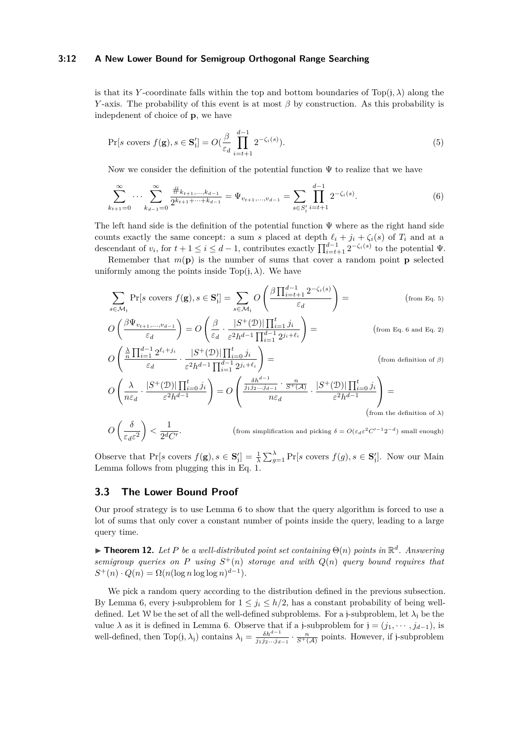#### **3:12 A New Lower Bound for Semigroup Orthogonal Range Searching**

is that its *Y*-coordinate falls within the top and bottom boundaries of  $Top(i, \lambda)$  along the *Y* -axis. The probability of this event is at most *β* by construction. As this probability is indepdenent of choice of **p**, we have

<span id="page-11-0"></span>
$$
\Pr[s \text{ covers } f(\mathbf{g}), s \in \mathbf{S}'_j] = O(\frac{\beta}{\varepsilon_d} \prod_{i=t+1}^{d-1} 2^{-\zeta_i(s)}).
$$
\n
$$
(5)
$$

Now we consider the definition of the potential function  $\Psi$  to realize that we have

<span id="page-11-1"></span>
$$
\sum_{k_{t+1}=0}^{\infty} \cdots \sum_{k_{d-1}=0}^{\infty} \frac{\#_{k_{t+1},\ldots,k_{d-1}}}{2^{k_{t+1}+\cdots+k_{d-1}}} = \Psi_{v_{t+1},\ldots,v_{d-1}} = \sum_{s \in S'_j} \prod_{i=t+1}^{d-1} 2^{-\zeta_i(s)}.
$$
\n
$$
(6)
$$

The left hand side is the definition of the potential function  $\Psi$  where as the right hand side counts exactly the same concept: a sum *s* placed at depth  $\ell_i + j_i + \zeta_i(s)$  of  $T_i$  and at a descendant of  $v_i$ , for  $t + 1 \leq i \leq d - 1$ , contributes exactly  $\prod_{i=t+1}^{d-1} 2^{-\zeta_i(s)}$  to the potential  $\Psi$ .

Remember that  $m(\mathbf{p})$  is the number of sums that cover a random point **p** selected uniformly among the points inside  $Top(i, \lambda)$ . We have

$$
\sum_{s \in \mathcal{M}_j} \Pr[s \text{ covers } f(\mathbf{g}), s \in \mathbf{S}'_j] = \sum_{s \in \mathcal{M}_j} O\left(\frac{\beta \prod_{i=t+1}^{d-1} 2^{-\zeta_i(s)}}{\varepsilon_d}\right) = \text{(from Eq. 5)}
$$

$$
O\left(\frac{\beta\Psi_{v_{t+1},...,v_{d-1}}}{\varepsilon_d}\right) = O\left(\frac{\beta}{\varepsilon_d} \cdot \frac{|S^+(\mathcal{D})| \prod_{i=1}^t j_i}{\varepsilon^2 h^{d-1} \prod_{i=1}^{d-1} 2^{j_i + \ell_i}}\right) = \qquad \text{(from Eq. 6 and Eq. 2)}
$$
\n
$$
\left(\frac{\lambda}{\varepsilon_d} \prod_{i=1}^{d-1} 2^{\ell_i + j_i} \quad |S^+(\mathcal{D})| \prod_{i=1}^t j_i\right)
$$

$$
O\left(\frac{\frac{\lambda}{n}\prod_{i=1}^{d-1} 2^{\ell_i+j_i}}{\varepsilon_d} \cdot \frac{|S^+(\mathcal{D})| \prod_{i=0}^t j_i}{\varepsilon^2 h^{d-1} \prod_{i=1}^{d-1} 2^{j_i+\ell_i}}\right) = \left(\text{from definition of }\beta\right)
$$
\n
$$
O\left(\frac{\lambda}{n\varepsilon_d} \cdot \frac{|S^+(\mathcal{D})| \prod_{i=0}^t j_i}{\varepsilon^2 h^{d-1}}\right) = O\left(\frac{\frac{\delta h^{d-1}}{j_1 j_2 \dots j_{d-1}} \cdot \frac{n}{S^+(\mathcal{A})}}{n\varepsilon_d} \cdot \frac{|S^+(\mathcal{D})| \prod_{i=0}^t j_i}{\varepsilon^2 h^{d-1}}\right) = \left(\text{from the definition of }\lambda\right)
$$

$$
O\left(\frac{\delta}{\varepsilon_d \varepsilon^2}\right) < \frac{1}{2^d C'}.
$$
 (from simplification and picking  $\delta = O(\varepsilon_d \varepsilon^2 C'^{-1} 2^{-d})$  small enough)

Observe that  $Pr[s \text{ covers } f(\mathbf{g}), s \in \mathbf{S}'_j] = \frac{1}{\lambda} \sum_{g=1}^{\lambda} Pr[s \text{ covers } f(g), s \in \mathbf{S}'_j].$  Now our Main Lemma follows from plugging this in Eq. [1.](#page-9-1)

## **3.3 The Lower Bound Proof**

Our proof strategy is to use Lemma [6](#page-7-0) to show that the query algorithm is forced to use a lot of sums that only cover a constant number of points inside the query, leading to a large query time.

**Findment 12.** Let P be a well-distributed point set containing  $\Theta(n)$  points in  $\mathbb{R}^d$ . Answering *semigroup queries on P using*  $S^+(n)$  *storage and with*  $Q(n)$  *query bound requires that*  $S^+(n) \cdot Q(n) = \Omega(n(\log n \log \log n)^{d-1}).$ 

We pick a random query according to the distribution defined in the previous subsection. By Lemma [6,](#page-7-0) every j-subproblem for  $1 \leq j_i \leq h/2$ , has a constant probability of being welldefined. Let W be the set of all the well-defined subproblems. For a j-subproblem, let  $\lambda_i$  be the value  $\lambda$  as it is defined in Lemma [6.](#page-7-0) Observe that if a j-subproblem for  $j = (j_1, \dots, j_{d-1})$ , is well-defined, then  $Top(j, \lambda_j)$  contains  $\lambda_j = \frac{\delta h^{d-1}}{j_1 j_2 ... j_{d-1}} \cdot \frac{n}{S^+(\mathcal{A})}$  points. However, if j-subproblem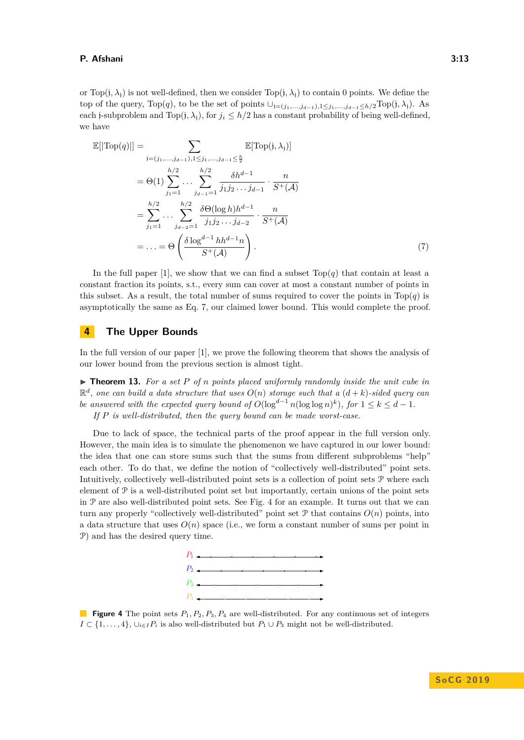or Top(j,  $\lambda_i$ ) is not well-defined, then we consider Top(j,  $\lambda_i$ ) to contain 0 points. We define the top of the query,  $Top(q)$ , to be the set of points  $\cup_{j=(j_1,...,j_{d-1}),1\leq j_1,...,j_{d-1}\leq h/2} Top(j,\lambda_j)$ . As each j-subproblem and Top(j,  $\lambda_i$ ), for  $j_i \leq h/2$  has a constant probability of being well-defined, we have

$$
\mathbb{E}[\vert \text{Top}(q) \vert] = \sum_{\substack{j=(j_1,\ldots,j_{d-1}),1 \leq j_1,\ldots,j_{d-1} \leq \frac{h}{2} \\ j_1 \geq 0}} \mathbb{E}[\text{Top}(j,\lambda_j)]
$$
\n
$$
= \Theta(1) \sum_{j_1=1}^{h/2} \cdots \sum_{j_{d-1}=1}^{h/2} \frac{\delta h^{d-1}}{j_1 j_2 \cdots j_{d-1}} \cdot \frac{n}{S^+(A)}
$$
\n
$$
= \sum_{j_1=1}^{h/2} \cdots \sum_{j_{d-2}=1}^{h/2} \frac{\delta \Theta(\log h) h^{d-1}}{j_1 j_2 \cdots j_{d-2}} \cdot \frac{n}{S^+(A)}
$$
\n
$$
= \cdots = \Theta\left(\frac{\delta \log^{d-1} h h^{d-1} n}{S^+(A)}\right). \tag{7}
$$

<span id="page-12-0"></span>In the full paper  $[1]$ , we show that we can find a subset  $Top(q)$  that contain at least a constant fraction its points, s.t., every sum can cover at most a constant number of points in this subset. As a result, the total number of sums required to cover the points in  $\text{Top}(q)$  is asymptotically the same as Eq. [7,](#page-12-0) our claimed lower bound. This would complete the proof.

## **4 The Upper Bounds**

In the full version of our paper [\[1\]](#page-13-2), we prove the following theorem that shows the analysis of our lower bound from the previous section is almost tight.

 $\triangleright$  **Theorem 13.** For a set P of *n* points placed uniformly randomly inside the unit cube in  $\mathbb{R}^d$ , one can build a data structure that uses  $O(n)$  storage such that a  $(d+k)$ -sided query can *be answered with the expected query bound of*  $O(\log^{d-1} n(\log \log n)^k)$ , for  $1 \leq k \leq d-1$ . *If P is well-distributed, then the query bound can be made worst-case.*

Due to lack of space, the technical parts of the proof appear in the full version only. However, the main idea is to simulate the phenomenon we have captured in our lower bound: the idea that one can store sums such that the sums from different subproblems "help" each other. To do that, we define the notion of "collectively well-distributed" point sets. Intuitively, collectively well-distributed point sets is a collection of point sets P where each element of  $\mathcal P$  is a well-distributed point set but importantly, certain unions of the point sets in P are also well-distributed point sets. See Fig. [4](#page-12-1) for an example. It turns out that we can turn any properly "collectively well-distributed" point set  $P$  that contains  $O(n)$  points, into a data structure that uses  $O(n)$  space (i.e., we form a constant number of sums per point in P) and has the desired query time.



<span id="page-12-1"></span>**Figure 4** The point sets  $P_1, P_2, P_3, P_4$  are well-distributed. For any continuous set of integers *I* ⊂ {1, . . . , 4}, ∪<sub>*i∈I*</sub> $P_i$  is also well-distributed but  $P_1 \cup P_3$  might not be well-distributed.